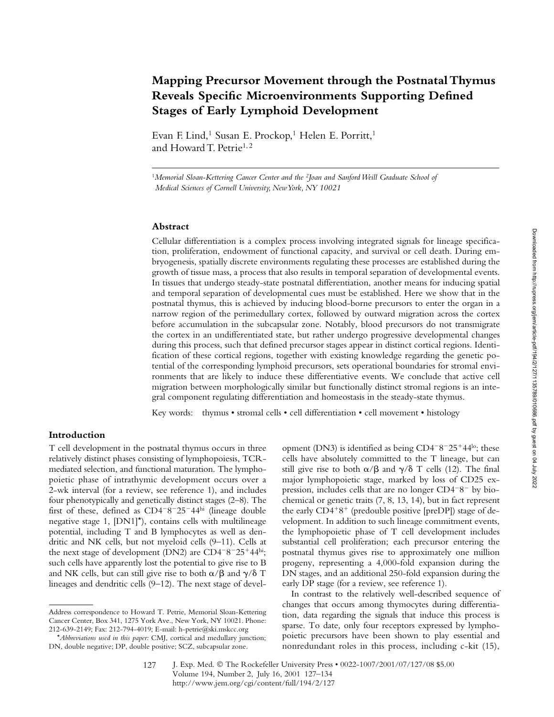# **Mapping Precursor Movement through the Postnatal Thymus Reveals Specific Microenvironments Supporting Defined Stages of Early Lymphoid Development**

Evan F. Lind,<sup>1</sup> Susan E. Prockop,<sup>1</sup> Helen E. Porritt,<sup>1</sup> and Howard T. Petrie<sup>1, 2</sup>

#### **Abstract**

Cellular differentiation is a complex process involving integrated signals for lineage specification, proliferation, endowment of functional capacity, and survival or cell death. During embryogenesis, spatially discrete environments regulating these processes are established during the growth of tissue mass, a process that also results in temporal separation of developmental events. In tissues that undergo steady-state postnatal differentiation, another means for inducing spatial and temporal separation of developmental cues must be established. Here we show that in the postnatal thymus, this is achieved by inducing blood-borne precursors to enter the organ in a narrow region of the perimedullary cortex, followed by outward migration across the cortex before accumulation in the subcapsular zone. Notably, blood precursors do not transmigrate the cortex in an undifferentiated state, but rather undergo progressive developmental changes during this process, such that defined precursor stages appear in distinct cortical regions. Identification of these cortical regions, together with existing knowledge regarding the genetic potential of the corresponding lymphoid precursors, sets operational boundaries for stromal environments that are likely to induce these differentiative events. We conclude that active cell migration between morphologically similar but functionally distinct stromal regions is an integral component regulating differentiation and homeostasis in the steady-state thymus.

Key words: thymus • stromal cells • cell differentiation • cell movement • histology

## **Introduction**

T cell development in the postnatal thymus occurs in three relatively distinct phases consisting of lymphopoiesis, TCRmediated selection, and functional maturation. The lymphopoietic phase of intrathymic development occurs over a 2-wk interval (for a review, see reference 1), and includes four phenotypically and genetically distinct stages (2–8). The first of these, defined as CD4<sup>-8-25-44hi</sup> (lineage double negative stage 1, [DN1]\*), contains cells with multilineage potential, including T and B lymphocytes as well as dendritic and NK cells, but not myeloid cells (9–11). Cells at the next stage of development (DN2) are  $CD4^{-}8^{-}25^{+}44^{\text{hi}};$ such cells have apparently lost the potential to give rise to B and NK cells, but can still give rise to both  $\alpha/\beta$  and  $\gamma/\delta$  T lineages and dendritic cells (9–12). The next stage of devel-

opment (DN3) is identified as being CD4<sup>-8-</sup>25<sup>+</sup>44<sup>lo</sup>; these cells have absolutely committed to the T lineage, but can still give rise to both  $\alpha/\beta$  and  $\gamma/\delta$  T cells (12). The final major lymphopoietic stage, marked by loss of CD25 expression, includes cells that are no longer CD4<sup>-8-</sup> by biochemical or genetic traits (7, 8, 13, 14), but in fact represent the early  $CD4+8+$  (predouble positive [preDP]) stage of development. In addition to such lineage commitment events, the lymphopoietic phase of T cell development includes substantial cell proliferation; each precursor entering the postnatal thymus gives rise to approximately one million progeny, representing a 4,000-fold expansion during the DN stages, and an additional 250-fold expansion during the early DP stage (for a review, see reference 1).

In contrast to the relatively well-described sequence of changes that occurs among thymocytes during differentiation, data regarding the signals that induce this process is sparse. To date, only four receptors expressed by lymphopoietic precursors have been shown to play essential and nonredundant roles in this process, including c-kit (15),

<sup>1</sup>*Memorial Sloan-Kettering Cancer Center and the 2Joan and Sanford Weill Graduate School of Medical Sciences of Cornell University, New York, NY 10021*

Address correspondence to Howard T. Petrie, Memorial Sloan-Kettering Cancer Center, Box 341, 1275 York Ave., New York, NY 10021. Phone: 212-639-2149; Fax: 212-794-4019; E-mail: h-petrie@ski.mskcc.org

<sup>\*</sup>*Abbreviations used in this paper:* CMJ, cortical and medullary junction; DN, double negative; DP, double positive; SCZ, subcapsular zone.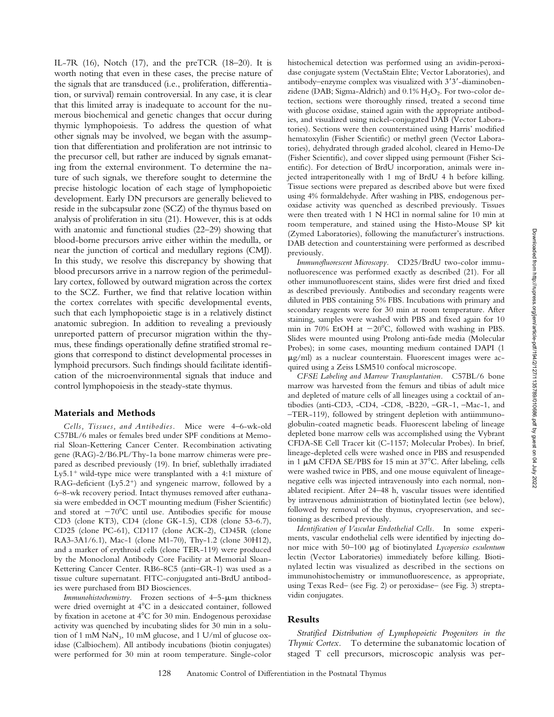IL-7R (16), Notch (17), and the preTCR (18–20). It is worth noting that even in these cases, the precise nature of the signals that are transduced (i.e., proliferation, differentiation, or survival) remain controversial. In any case, it is clear that this limited array is inadequate to account for the numerous biochemical and genetic changes that occur during thymic lymphopoiesis. To address the question of what other signals may be involved, we began with the assumption that differentiation and proliferation are not intrinsic to the precursor cell, but rather are induced by signals emanating from the external environment. To determine the nature of such signals, we therefore sought to determine the precise histologic location of each stage of lymphopoietic development. Early DN precursors are generally believed to reside in the subcapsular zone (SCZ) of the thymus based on analysis of proliferation in situ (21). However, this is at odds with anatomic and functional studies (22–29) showing that blood-borne precursors arrive either within the medulla, or near the junction of cortical and medullary regions (CMJ). In this study, we resolve this discrepancy by showing that blood precursors arrive in a narrow region of the perimedullary cortex, followed by outward migration across the cortex to the SCZ. Further, we find that relative location within the cortex correlates with specific developmental events, such that each lymphopoietic stage is in a relatively distinct anatomic subregion. In addition to revealing a previously unreported pattern of precursor migration within the thymus, these findings operationally define stratified stromal regions that correspond to distinct developmental processes in lymphoid precursors. Such findings should facilitate identification of the microenvironmental signals that induce and control lymphopoiesis in the steady-state thymus.

#### **Materials and Methods**

*Cells, Tissues, and Antibodies.* Mice were 4–6-wk-old C57BL/6 males or females bred under SPF conditions at Memorial Sloan-Kettering Cancer Center. Recombination activating gene (RAG)-2/B6.PL/Thy-1a bone marrow chimeras were prepared as described previously (19). In brief, sublethally irradiated Ly5.1<sup>+</sup> wild-type mice were transplanted with a 4:1 mixture of RAG-deficient  $(Ly5.2<sup>+</sup>)$  and syngeneic marrow, followed by a 6–8-wk recovery period. Intact thymuses removed after euthanasia were embedded in OCT mounting medium (Fisher Scientific) and stored at  $-70^{\circ}$ C until use. Antibodies specific for mouse CD3 (clone KT3), CD4 (clone GK-1.5), CD8 (clone 53-6.7), CD25 (clone PC-61), CD117 (clone ACK-2), CD45R (clone RA3-3A1/6.1), Mac-1 (clone M1-70), Thy-1.2 (clone 30H12), and a marker of erythroid cells (clone TER-119) were produced by the Monoclonal Antibody Core Facility at Memorial Sloan-Kettering Cancer Center. RB6-8C5 (anti–GR-1) was used as a tissue culture supernatant. FITC-conjugated anti-BrdU antibodies were purchased from BD Biosciences.

*Immunohistochemistry*. Frozen sections of 4-5- $\mu$ m thickness were dried overnight at 4°C in a desiccated container, followed by fixation in acetone at  $4^{\circ}$ C for 30 min. Endogenous peroxidase activity was quenched by incubating slides for 30 min in a solution of 1 mM  $\text{NaN}_3$ , 10 mM glucose, and 1 U/ml of glucose oxidase (Calbiochem). All antibody incubations (biotin conjugates) were performed for 30 min at room temperature. Single-color

histochemical detection was performed using an avidin-peroxidase conjugate system (VectaStain Elite; Vector Laboratories), and antibody–enzyme complex was visualized with 3'3'-diaminobenzidene (DAB; Sigma-Aldrich) and  $0.1\%$   $H_2O_2$ . For two-color detection, sections were thoroughly rinsed, treated a second time with glucose oxidase, stained again with the appropriate antibodies, and visualized using nickel-conjugated DAB (Vector Laboratories). Sections were then counterstained using Harris' modified hematoxylin (Fisher Scientific) or methyl green (Vector Laboratories), dehydrated through graded alcohol, cleared in Hemo-De (Fisher Scientific), and cover slipped using permount (Fisher Scientific). For detection of BrdU incorporation, animals were injected intraperitoneally with 1 mg of BrdU 4 h before killing. Tissue sections were prepared as described above but were fixed using 4% formaldehyde. After washing in PBS, endogenous peroxidase activity was quenched as described previously. Tissues were then treated with 1 N HCl in normal saline for 10 min at room temperature, and stained using the Histo-Mouse SP kit (Zymed Laboratories), following the manufacturer's instructions. DAB detection and counterstaining were performed as described previously.

*Immunofluorescent Microscopy.* CD25/BrdU two-color immunofluorescence was performed exactly as described (21). For all other immunofluorescent stains, slides were first dried and fixed as described previously. Antibodies and secondary reagents were diluted in PBS containing 5% FBS. Incubations with primary and secondary reagents were for 30 min at room temperature. After staining, samples were washed with PBS and fixed again for 10 min in 70% EtOH at -20°C, followed with washing in PBS. Slides were mounted using Prolong anti-fade media (Molecular Probes); in some cases, mounting medium contained DAPI (1  $\mu$ g/ml) as a nuclear counterstain. Fluorescent images were acquired using a Zeiss LSM510 confocal microscope.

*CFSE Labeling and Marrow Transplantation.* C57BL/6 bone marrow was harvested from the femurs and tibias of adult mice and depleted of mature cells of all lineages using a cocktail of antibodies (anti-CD3, -CD4, -CD8, -B220, –GR-1, –Mac-1, and –TER-119), followed by stringent depletion with antiimmunoglobulin-coated magnetic beads. Fluorescent labeling of lineage depleted bone marrow cells was accomplished using the Vybrant CFDA-SE Cell Tracer kit (C-1157; Molecular Probes). In brief, lineage-depleted cells were washed once in PBS and resuspended in 1  $\mu$ M CFDA SE/PBS for 15 min at 37°C. After labeling, cells were washed twice in PBS, and one mouse equivalent of lineagenegative cells was injected intravenously into each normal, nonablated recipient. After 24–48 h, vascular tissues were identified by intravenous administration of biotinylated lectin (see below), followed by removal of the thymus, cryopreservation, and sectioning as described previously.

*Identification of Vascular Endothelial Cells.* In some experiments, vascular endothelial cells were identified by injecting donor mice with 50–100 μg of biotinylated *Lycopersico esculentum* lectin (Vector Laboratories) immediately before killing. Biotinylated lectin was visualized as described in the sections on immunohistochemistry or immunofluorescence, as appropriate, using Texas Red– (see Fig. 2) or peroxidase– (see Fig. 3) streptavidin conjugates.

### **Results**

*Stratified Distribution of Lymphopoietic Progenitors in the Thymic Cortex.* To determine the subanatomic location of staged T cell precursors, microscopic analysis was per-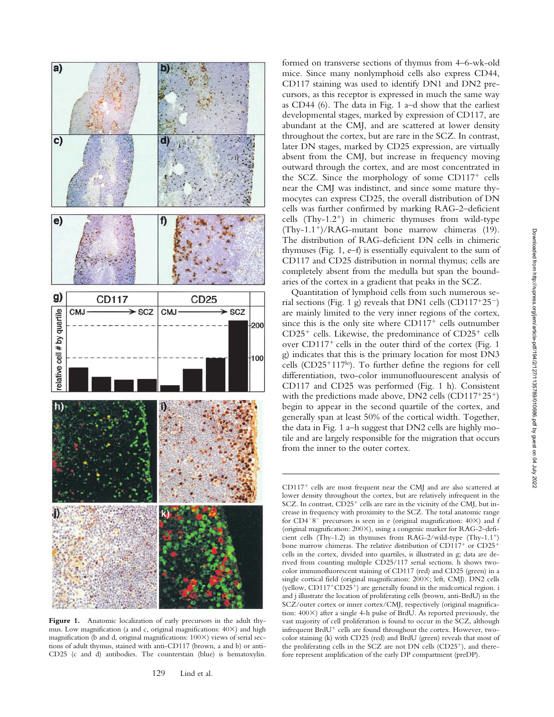

Figure 1. Anatomic localization of early precursors in the adult thymus. Low magnification (a and c, original magnifications:  $40\times$ ) and high magnification (b and d, original magnifications:  $100 \times$ ) views of serial sections of adult thymus, stained with anti-CD117 (brown, a and b) or anti-CD25 (c and d) antibodies. The counterstain (blue) is hematoxylin.

formed on transverse sections of thymus from 4–6-wk-old mice. Since many nonlymphoid cells also express CD44, CD117 staining was used to identify DN1 and DN2 precursors, as this receptor is expressed in much the same way as CD44 (6). The data in Fig. 1 a–d show that the earliest developmental stages, marked by expression of CD117, are abundant at the CMJ, and are scattered at lower density throughout the cortex, but are rare in the SCZ. In contrast, later DN stages, marked by CD25 expression, are virtually absent from the CMJ, but increase in frequency moving outward through the cortex, and are most concentrated in the SCZ. Since the morphology of some  $CD117<sup>+</sup>$  cells near the CMJ was indistinct, and since some mature thymocytes can express CD25, the overall distribution of DN cells was further confirmed by marking RAG-2–deficient cells  $(Thy-1.2^+)$  in chimeric thymuses from wild-type  $(Thy-1.1^+)/RAG-mutant$  bone marrow chimeras (19). The distribution of RAG-deficient DN cells in chimeric thymuses (Fig. 1, e–f) is essentially equivalent to the sum of CD117 and CD25 distribution in normal thymus; cells are completely absent from the medulla but span the boundaries of the cortex in a gradient that peaks in the SCZ.

Quantitation of lymphoid cells from such numerous serial sections (Fig. 1 g) reveals that DN1 cells (CD117+25<sup>-</sup>) are mainly limited to the very inner regions of the cortex, since this is the only site where  $CD117<sup>+</sup>$  cells outnumber  $CD25<sup>+</sup>$  cells. Likewise, the predominance of  $CD25<sup>+</sup>$  cells over  $CD117<sup>+</sup>$  cells in the outer third of the cortex (Fig. 1) g) indicates that this is the primary location for most DN3 cells  $(CD25+117<sup>lo</sup>)$ . To further define the regions for cell differentiation, two-color immunofluourescent analysis of CD117 and CD25 was performed (Fig. 1 h). Consistent with the predictions made above, DN2 cells  $(CD117+25)$ <sup>+</sup> begin to appear in the second quartile of the cortex, and generally span at least 50% of the cortical width. Together, the data in Fig. 1 a–h suggest that DN2 cells are highly motile and are largely responsible for the migration that occurs from the inner to the outer cortex.

 $CD117<sup>+</sup>$  cells are most frequent near the CMJ and are also scattered at lower density throughout the cortex, but are relatively infrequent in the SCZ. In contrast,  $CD25<sup>+</sup>$  cells are rare in the vicinity of the CMJ, but increase in frequency with proximity to the SCZ. The total anatomic range for CD4<sup>-8-</sup> precursors is seen in e (original magnification:  $40\times$ ) and f (original magnification:  $200\times$ ), using a congenic marker for RAG-2-deficient cells (Thy-1.2) in thymuses from RAG-2/wild-type (Thy-1.1<sup>+</sup>) bone marrow chimeras. The relative distribution of  $CD117<sup>+</sup>$  or  $CD25<sup>+</sup>$ cells in the cortex, divided into quartiles, is illustrated in g; data are derived from counting multiple CD25/117 serial sections. h shows twocolor immunofluorescent staining of CD117 (red) and CD25 (green) in a single cortical field (original magnification:  $200 \times$ ; left, CMJ). DN2 cells (yellow,  $CD117+CD25+$ ) are generally found in the midcortical region. i and j illustrate the location of proliferating cells (brown, anti-BrdU) in the SCZ/outer cortex or inner cortex/CMJ, respectively (original magnification:  $400\times$ ) after a single 4-h pulse of BrdU. As reported previously, the vast majority of cell proliferation is found to occur in the SCZ, although infrequent  $\mathrm{BrdU}^+$  cells are found throughout the cortex. However, twocolor staining (k) with CD25 (red) and BrdU (green) reveals that most of the proliferating cells in the SCZ are not DN cells (CD25<sup>+</sup>), and therefore represent amplification of the early DP compartment (preDP).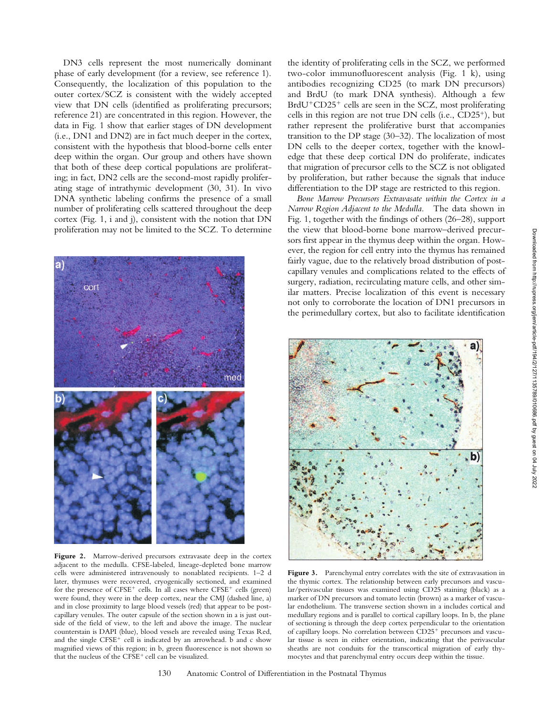DN3 cells represent the most numerically dominant phase of early development (for a review, see reference 1). Consequently, the localization of this population to the outer cortex/SCZ is consistent with the widely accepted view that DN cells (identified as proliferating precursors; reference 21) are concentrated in this region. However, the data in Fig. 1 show that earlier stages of DN development (i.e., DN1 and DN2) are in fact much deeper in the cortex, consistent with the hypothesis that blood-borne cells enter deep within the organ. Our group and others have shown that both of these deep cortical populations are proliferating; in fact, DN2 cells are the second-most rapidly proliferating stage of intrathymic development (30, 31). In vivo DNA synthetic labeling confirms the presence of a small number of proliferating cells scattered throughout the deep cortex (Fig. 1, i and j), consistent with the notion that DN proliferation may not be limited to the SCZ. To determine



Figure 2. Marrow-derived precursors extravasate deep in the cortex adjacent to the medulla. CFSE-labeled, lineage-depleted bone marrow cells were administered intravenously to nonablated recipients. 1–2 d later, thymuses were recovered, cryogenically sectioned, and examined for the presence of  $CFSE^+$  cells. In all cases where  $CFSE^+$  cells (green) were found, they were in the deep cortex, near the CMJ (dashed line, a) and in close proximity to large blood vessels (red) that appear to be postcapillary venules. The outer capsule of the section shown in a is just outside of the field of view, to the left and above the image. The nuclear counterstain is DAPI (blue), blood vessels are revealed using Texas Red, and the single CFSE<sup>+</sup> cell is indicated by an arrowhead. b and c show magnified views of this region; in b, green fluorescence is not shown so that the nucleus of the CFSE<sup>+</sup> cell can be visualized.

the identity of proliferating cells in the SCZ, we performed two-color immunofluorescent analysis (Fig. 1 k), using antibodies recognizing CD25 (to mark DN precursors) and BrdU (to mark DNA synthesis). Although a few  $BrdU<sup>+</sup>CD25<sup>+</sup>$  cells are seen in the SCZ, most proliferating cells in this region are not true DN cells (i.e.,  $CD25^+$ ), but rather represent the proliferative burst that accompanies transition to the DP stage (30–32). The localization of most DN cells to the deeper cortex, together with the knowledge that these deep cortical DN do proliferate, indicates that migration of precursor cells to the SCZ is not obligated by proliferation, but rather because the signals that induce differentiation to the DP stage are restricted to this region.

*Bone Marrow Precursors Extravasate within the Cortex in a Narrow Region Adjacent to the Medulla.* The data shown in Fig. 1, together with the findings of others (26–28), support the view that blood-borne bone marrow–derived precursors first appear in the thymus deep within the organ. However, the region for cell entry into the thymus has remained fairly vague, due to the relatively broad distribution of postcapillary venules and complications related to the effects of surgery, radiation, recirculating mature cells, and other similar matters. Precise localization of this event is necessary not only to corroborate the location of DN1 precursors in the perimedullary cortex, but also to facilitate identification



Figure 3. Parenchymal entry correlates with the site of extravasation in the thymic cortex. The relationship between early precursors and vascular/perivascular tissues was examined using CD25 staining (black) as a marker of DN precursors and tomato lectin (brown) as a marker of vascular endothelium. The transverse section shown in a includes cortical and medullary regions and is parallel to cortical capillary loops. In b, the plane of sectioning is through the deep cortex perpendicular to the orientation of capillary loops. No correlation between CD25<sup>+</sup> precursors and vascular tissue is seen in either orientation, indicating that the perivascular sheaths are not conduits for the transcortical migration of early thymocytes and that parenchymal entry occurs deep within the tissue.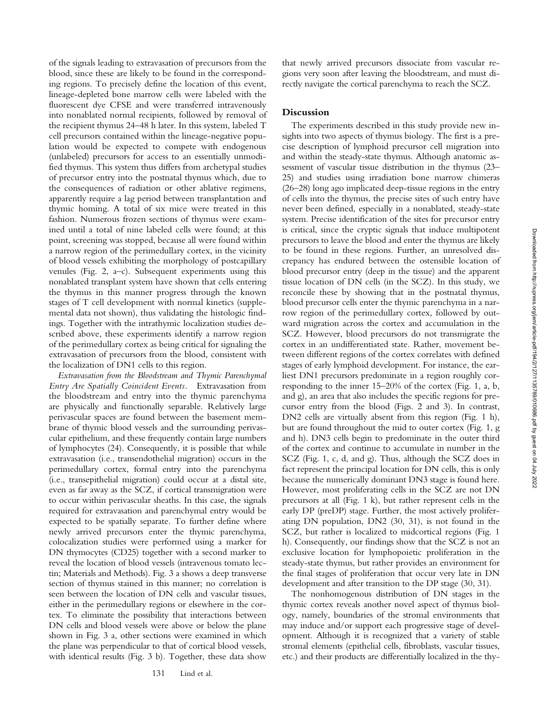of the signals leading to extravasation of precursors from the blood, since these are likely to be found in the corresponding regions. To precisely define the location of this event, lineage-depleted bone marrow cells were labeled with the fluorescent dye CFSE and were transferred intravenously into nonablated normal recipients, followed by removal of the recipient thymus 24–48 h later. In this system, labeled T cell precursors contained within the lineage-negative population would be expected to compete with endogenous (unlabeled) precursors for access to an essentially unmodified thymus. This system thus differs from archetypal studies of precursor entry into the postnatal thymus which, due to the consequences of radiation or other ablative regimens, apparently require a lag period between transplantation and thymic homing. A total of six mice were treated in this fashion. Numerous frozen sections of thymus were examined until a total of nine labeled cells were found; at this point, screening was stopped, because all were found within a narrow region of the perimedullary cortex, in the vicinity of blood vessels exhibiting the morphology of postcapillary venules (Fig. 2, a–c). Subsequent experiments using this nonablated transplant system have shown that cells entering the thymus in this manner progress through the known stages of T cell development with normal kinetics (supplemental data not shown), thus validating the histologic findings. Together with the intrathymic localization studies described above, these experiments identify a narrow region of the perimedullary cortex as being critical for signaling the extravasation of precursors from the blood, consistent with the localization of DN1 cells to this region. *Extravasation from the Bloodstream and Thymic Parenchymal* **Discussion**

*Entry Are Spatially Coincident Events.* Extravasation from the bloodstream and entry into the thymic parenchyma are physically and functionally separable. Relatively large perivascular spaces are found between the basement membrane of thymic blood vessels and the surrounding perivascular epithelium, and these frequently contain large numbers of lymphocytes (24). Consequently, it is possible that while extravasation (i.e., transendothelial migration) occurs in the perimedullary cortex, formal entry into the parenchyma (i.e., transepithelial migration) could occur at a distal site, even as far away as the SCZ, if cortical transmigration were to occur within perivascular sheaths. In this case, the signals required for extravasation and parenchymal entry would be expected to be spatially separate. To further define where newly arrived precursors enter the thymic parenchyma, colocalization studies were performed using a marker for DN thymocytes (CD25) together with a second marker to reveal the location of blood vessels (intravenous tomato lectin; Materials and Methods). Fig. 3 a shows a deep transverse section of thymus stained in this manner; no correlation is seen between the location of DN cells and vascular tissues, either in the perimedullary regions or elsewhere in the cortex. To eliminate the possibility that interactions between DN cells and blood vessels were above or below the plane shown in Fig. 3 a, other sections were examined in which the plane was perpendicular to that of cortical blood vessels, with identical results (Fig. 3 b). Together, these data show

that newly arrived precursors dissociate from vascular regions very soon after leaving the bloodstream, and must directly navigate the cortical parenchyma to reach the SCZ.

The experiments described in this study provide new insights into two aspects of thymus biology. The first is a precise description of lymphoid precursor cell migration into and within the steady-state thymus. Although anatomic assessment of vascular tissue distribution in the thymus (23– 25) and studies using irradiation bone marrow chimeras (26–28) long ago implicated deep-tissue regions in the entry of cells into the thymus, the precise sites of such entry have never been defined, especially in a nonablated, steady-state system. Precise identification of the sites for precursor entry is critical, since the cryptic signals that induce multipotent precursors to leave the blood and enter the thymus are likely to be found in these regions. Further, an unresolved discrepancy has endured between the ostensible location of blood precursor entry (deep in the tissue) and the apparent tissue location of DN cells (in the SCZ). In this study, we reconcile these by showing that in the postnatal thymus, blood precursor cells enter the thymic parenchyma in a narrow region of the perimedullary cortex, followed by outward migration across the cortex and accumulation in the SCZ. However, blood precursors do not transmigrate the cortex in an undifferentiated state. Rather, movement between different regions of the cortex correlates with defined stages of early lymphoid development. For instance, the earliest DN1 precursors predominate in a region roughly corresponding to the inner 15–20% of the cortex (Fig. 1, a, b, and g), an area that also includes the specific regions for precursor entry from the blood (Figs. 2 and 3). In contrast, DN2 cells are virtually absent from this region (Fig. 1 h), but are found throughout the mid to outer cortex (Fig. 1, g and h). DN3 cells begin to predominate in the outer third of the cortex and continue to accumulate in number in the SCZ (Fig. 1, c, d, and g). Thus, although the SCZ does in fact represent the principal location for DN cells, this is only because the numerically dominant DN3 stage is found here. However, most proliferating cells in the SCZ are not DN precursors at all (Fig. 1 k), but rather represent cells in the early DP (preDP) stage. Further, the most actively proliferating DN population, DN2 (30, 31), is not found in the SCZ, but rather is localized to midcortical regions (Fig. 1 h). Consequently, our findings show that the SCZ is not an exclusive location for lymphopoietic proliferation in the steady-state thymus, but rather provides an environment for the final stages of proliferation that occur very late in DN development and after transition to the DP stage (30, 31).

The nonhomogenous distribution of DN stages in the thymic cortex reveals another novel aspect of thymus biology, namely, boundaries of the stromal environments that may induce and/or support each progressive stage of development. Although it is recognized that a variety of stable stromal elements (epithelial cells, fibroblasts, vascular tissues, etc.) and their products are differentially localized in the thy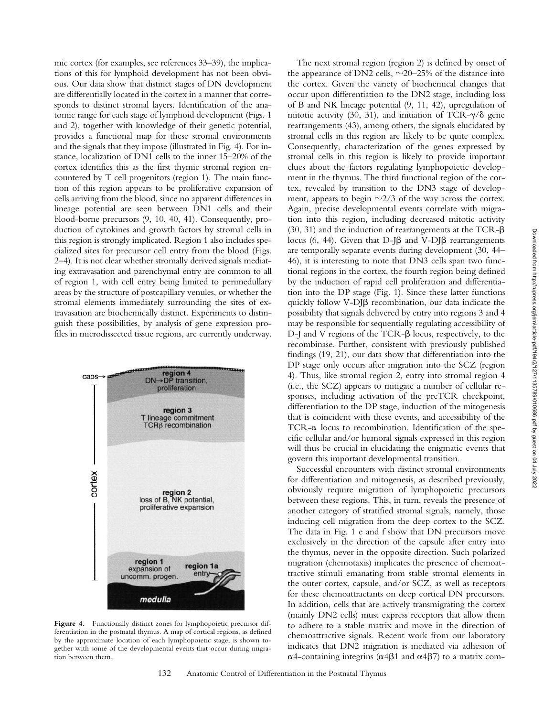mic cortex (for examples, see references 33–39), the implications of this for lymphoid development has not been obvious. Our data show that distinct stages of DN development are differentially located in the cortex in a manner that corresponds to distinct stromal layers. Identification of the anatomic range for each stage of lymphoid development (Figs. 1 and 2), together with knowledge of their genetic potential, provides a functional map for these stromal environments and the signals that they impose (illustrated in Fig. 4). For instance, localization of DN1 cells to the inner 15–20% of the cortex identifies this as the first thymic stromal region encountered by T cell progenitors (region 1). The main function of this region appears to be proliferative expansion of cells arriving from the blood, since no apparent differences in lineage potential are seen between DN1 cells and their blood-borne precursors (9, 10, 40, 41). Consequently, production of cytokines and growth factors by stromal cells in this region is strongly implicated. Region 1 also includes specialized sites for precursor cell entry from the blood (Figs. 2–4). It is not clear whether stromally derived signals mediating extravasation and parenchymal entry are common to all of region 1, with cell entry being limited to perimedullary areas by the structure of postcapillary venules, or whether the stromal elements immediately surrounding the sites of extravasation are biochemically distinct. Experiments to distinguish these possibilities, by analysis of gene expression profiles in microdissected tissue regions, are currently underway.



Figure 4. Functionally distinct zones for lymphopoietic precursor differentiation in the postnatal thymus. A map of cortical regions, as defined by the approximate location of each lymphopoietic stage, is shown together with some of the developmental events that occur during migration between them.

the cortex. Given the variety of biochemical changes that occur upon differentiation to the DN2 stage, including loss of B and NK lineage potential (9, 11, 42), upregulation of mitotic activity (30, 31), and initiation of TCR- $\gamma/\delta$  gene rearrangements (43), among others, the signals elucidated by stromal cells in this region are likely to be quite complex. Consequently, characterization of the genes expressed by stromal cells in this region is likely to provide important clues about the factors regulating lymphopoietic development in the thymus. The third functional region of the cortex, revealed by transition to the DN3 stage of development, appears to begin  $\sim$ 2/3 of the way across the cortex. Again, precise developmental events correlate with migration into this region, including decreased mitotic activity  $(30, 31)$  and the induction of rearrangements at the TCR- $\beta$ locus (6, 44). Given that D-J $\beta$  and V-DJ $\beta$  rearrangements are temporally separate events during development (30, 44– 46), it is interesting to note that DN3 cells span two functional regions in the cortex, the fourth region being defined by the induction of rapid cell proliferation and differentiation into the DP stage (Fig. 1). Since these latter functions quickly follow V-DJ $\beta$  recombination, our data indicate the possibility that signals delivered by entry into regions 3 and 4 may be responsible for sequentially regulating accessibility of  $D-I$  and V regions of the TCR- $\beta$  locus, respectively, to the recombinase. Further, consistent with previously published findings (19, 21), our data show that differentiation into the DP stage only occurs after migration into the SCZ (region 4). Thus, like stromal region 2, entry into stromal region 4 (i.e., the SCZ) appears to mitigate a number of cellular responses, including activation of the preTCR checkpoint, differentiation to the DP stage, induction of the mitogenesis that is coincident with these events, and accessibility of the TCR- $\alpha$  locus to recombination. Identification of the specific cellular and/or humoral signals expressed in this region will thus be crucial in elucidating the enigmatic events that govern this important developmental transition.

The next stromal region (region 2) is defined by onset of the appearance of DN2 cells,  $\sim$ 20–25% of the distance into

Successful encounters with distinct stromal environments for differentiation and mitogenesis, as described previously, obviously require migration of lymphopoietic precursors between these regions. This, in turn, reveals the presence of another category of stratified stromal signals, namely, those inducing cell migration from the deep cortex to the SCZ. The data in Fig. 1 e and f show that DN precursors move exclusively in the direction of the capsule after entry into the thymus, never in the opposite direction. Such polarized migration (chemotaxis) implicates the presence of chemoattractive stimuli emanating from stable stromal elements in the outer cortex, capsule, and/or SCZ, as well as receptors for these chemoattractants on deep cortical DN precursors. In addition, cells that are actively transmigrating the cortex (mainly DN2 cells) must express receptors that allow them to adhere to a stable matrix and move in the direction of chemoattractive signals. Recent work from our laboratory indicates that DN2 migration is mediated via adhesion of  $\alpha$ 4-containing integrins ( $\alpha$ 4 $\beta$ 1 and  $\alpha$ 4 $\beta$ 7) to a matrix com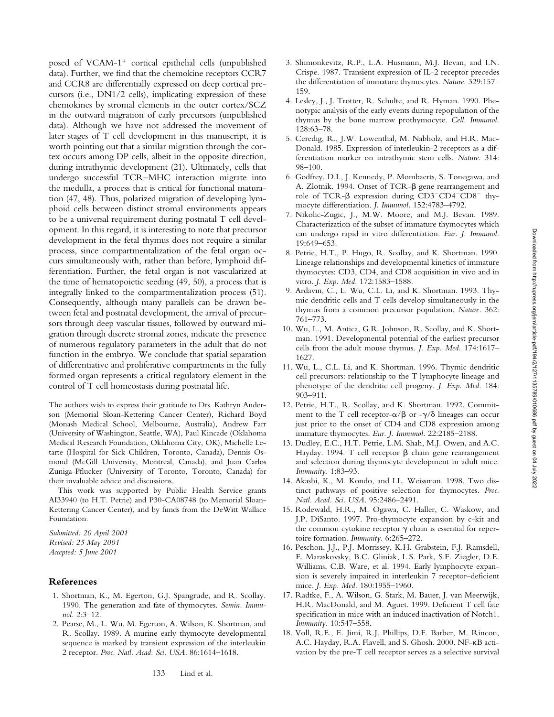posed of VCAM- $1^+$  cortical epithelial cells (unpublished data). Further, we find that the chemokine receptors CCR7 and CCR8 are differentially expressed on deep cortical precursors (i.e., DN1/2 cells), implicating expression of these chemokines by stromal elements in the outer cortex/SCZ in the outward migration of early precursors (unpublished data). Although we have not addressed the movement of later stages of T cell development in this manuscript, it is worth pointing out that a similar migration through the cortex occurs among DP cells, albeit in the opposite direction, during intrathymic development (21). Ultimately, cells that undergo successful TCR–MHC interaction migrate into the medulla, a process that is critical for functional maturation (47, 48). Thus, polarized migration of developing lymphoid cells between distinct stromal environments appears to be a universal requirement during postnatal T cell development. In this regard, it is interesting to note that precursor development in the fetal thymus does not require a similar process, since compartmentalization of the fetal organ occurs simultaneously with, rather than before, lymphoid differentiation. Further, the fetal organ is not vascularized at the time of hematopoietic seeding (49, 50), a process that is integrally linked to the compartmentalization process (51). Consequently, although many parallels can be drawn between fetal and postnatal development, the arrival of precursors through deep vascular tissues, followed by outward migration through discrete stromal zones, indicate the presence of numerous regulatory parameters in the adult that do not function in the embryo. We conclude that spatial separation of differentiative and proliferative compartments in the fully formed organ represents a critical regulatory element in the control of T cell homeostasis during postnatal life.

The authors wish to express their gratitude to Drs. Kathryn Anderson (Memorial Sloan-Kettering Cancer Center), Richard Boyd (Monash Medical School, Melbourne, Australia), Andrew Farr (University of Washington, Seattle, WA), Paul Kincade (Oklahoma Medical Research Foundation, Oklahoma City, OK), Michelle Letarte (Hospital for Sick Children, Toronto, Canada), Dennis Osmond (McGill University, Montreal, Canada), and Juan Carlos Zuniga-Pflucker (University of Toronto, Toronto, Canada) for their invaluable advice and discussions.

This work was supported by Public Health Service grants AI33940 (to H.T. Petrie) and P30-CA08748 (to Memorial Sloan-Kettering Cancer Center), and by funds from the DeWitt Wallace Foundation.

*Submitted: 20 April 2001 Revised: 25 May 2001 Accepted: 5 June 2001*

# **References**

- 1. Shortman, K., M. Egerton, G.J. Spangrude, and R. Scollay. 1990. The generation and fate of thymocytes. *Semin. Immunol.* 2:3–12.
- 2. Pearse, M., L. Wu, M. Egerton, A. Wilson, K. Shortman, and R. Scollay. 1989. A murine early thymocyte developmental sequence is marked by transient expression of the interleukin 2 receptor. *Proc. Natl. Acad. Sci. USA*. 86:1614–1618.
- 3. Shimonkevitz, R.P., L.A. Husmann, M.J. Bevan, and I.N. Crispe. 1987. Transient expression of IL-2 receptor precedes the differentiation of immature thymocytes. *Nature.* 329:157– 159.
- 4. Lesley, J., J. Trotter, R. Schulte, and R. Hyman. 1990. Phenotypic analysis of the early events during repopulation of the thymus by the bone marrow prothymocyte. *Cell. Immunol.* 128:63–78.
- 5. Ceredig, R., J.W. Lowenthal, M. Nabholz, and H.R. Mac-Donald. 1985. Expression of interleukin-2 receptors as a differentiation marker on intrathymic stem cells. *Nature.* 314: 98–100.
- 6. Godfrey, D.I., J. Kennedy, P. Mombaerts, S. Tonegawa, and A. Zlotnik. 1994. Onset of TCR- $\beta$  gene rearrangement and role of TCR-β expression during CD3<sup>-</sup>CD4<sup>-</sup>CD8<sup>-</sup> thymocyte differentiation. *J. Immunol.* 152:4783–4792.
- 7. Nikolic-Zugic, J., M.W. Moore, and M.J. Bevan. 1989. Characterization of the subset of immature thymocytes which can undergo rapid in vitro differentiation. *Eur. J. Immunol.* 19:649–653.
- 8. Petrie, H.T., P. Hugo, R. Scollay, and K. Shortman. 1990. Lineage relationships and developmental kinetics of immature thymocytes: CD3, CD4, and CD8 acquisition in vivo and in vitro. *J. Exp. Med.* 172:1583–1588.
- 9. Ardavin, C., L. Wu, C.L. Li, and K. Shortman. 1993. Thymic dendritic cells and T cells develop simultaneously in the thymus from a common precursor population. *Nature.* 362: 761–773.
- 10. Wu, L., M. Antica, G.R. Johnson, R. Scollay, and K. Shortman. 1991. Developmental potential of the earliest precursor cells from the adult mouse thymus. *J. Exp. Med.* 174:1617– 1627.
- 11. Wu, L., C.L. Li, and K. Shortman. 1996. Thymic dendritic cell precursors: relationship to the T lymphocyte lineage and phenotype of the dendritic cell progeny. *J. Exp. Med.* 184: 903–911.
- 12. Petrie, H.T., R. Scollay, and K. Shortman. 1992. Commitment to the T cell receptor- $\alpha/\beta$  or - $\gamma/\delta$  lineages can occur just prior to the onset of CD4 and CD8 expression among immature thymocytes. *Eur. J. Immunol.* 22:2185–2188.
- 13. Dudley, E.C., H.T. Petrie, L.M. Shah, M.J. Owen, and A.C. Hayday. 1994. T cell receptor  $\beta$  chain gene rearrangement and selection during thymocyte development in adult mice. *Immunity.* 1:83–93.
- 14. Akashi, K., M. Kondo, and I.L. Weissman. 1998. Two distinct pathways of positive selection for thymocytes. *Proc. Natl. Acad. Sci. USA.* 95:2486–2491.
- 15. Rodewald, H.R., M. Ogawa, C. Haller, C. Waskow, and J.P. DiSanto. 1997. Pro-thymocyte expansion by c-kit and the common cytokine receptor  $\gamma$  chain is essential for repertoire formation. *Immunity.* 6:265–272.
- 16. Peschon, J.J., P.J. Morrissey, K.H. Grabstein, F.J. Ramsdell, E. Maraskovsky, B.C. Gliniak, L.S. Park, S.F. Ziegler, D.E. Williams, C.B. Ware, et al. 1994. Early lymphocyte expansion is severely impaired in interleukin 7 receptor–deficient mice. *J. Exp. Med.* 180:1955–1960.
- 17. Radtke, F., A. Wilson, G. Stark, M. Bauer, J. van Meerwijk, H.R. MacDonald, and M. Aguet. 1999. Deficient T cell fate specification in mice with an induced inactivation of Notch1. *Immunity.* 10:547–558.
- 18. Voll, R.E., E. Jimi, R.J. Phillips, D.F. Barber, M. Rincon, A.C. Hayday, R.A. Flavell, and S. Ghosh. 2000. NF-KB activation by the pre-T cell receptor serves as a selective survival